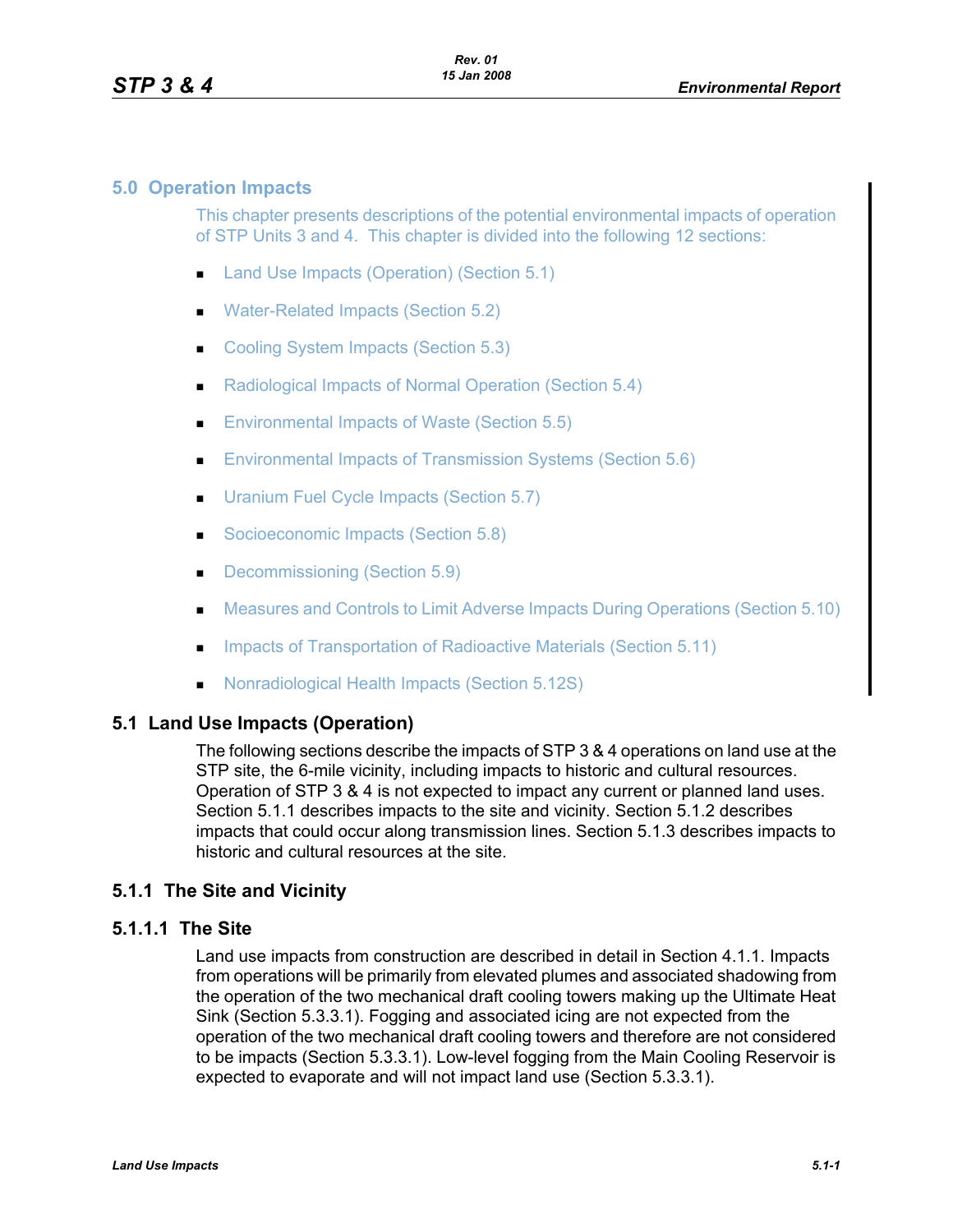#### **5.0 Operation Impacts**

This chapter presents descriptions of the potential environmental impacts of operation of STP Units 3 and 4. This chapter is divided into the following 12 sections:

- **Land Use Impacts (Operation) (Section 5.1)**
- Water-Related Impacts (Section 5.2)
- Cooling System Impacts (Section 5.3)
- Radiological Impacts of Normal Operation (Section 5.4)
- **Environmental Impacts of Waste (Section 5.5)**
- **Environmental Impacts of Transmission Systems (Section 5.6)**
- **Uranium Fuel Cycle Impacts (Section 5.7)**
- Socioeconomic Impacts (Section 5.8)
- Decommissioning (Section 5.9)
- **Measures and Controls to Limit Adverse Impacts During Operations (Section 5.10)**
- **Impacts of Transportation of Radioactive Materials (Section 5.11)**
- Nonradiological Health Impacts (Section 5.12S)

#### **5.1 Land Use Impacts (Operation)**

The following sections describe the impacts of STP 3 & 4 operations on land use at the STP site, the 6-mile vicinity, including impacts to historic and cultural resources. Operation of STP 3 & 4 is not expected to impact any current or planned land uses. Section 5.1.1 describes impacts to the site and vicinity. Section 5.1.2 describes impacts that could occur along transmission lines. Section 5.1.3 describes impacts to historic and cultural resources at the site.

#### **5.1.1 The Site and Vicinity**

# **5.1.1.1 The Site**

Land use impacts from construction are described in detail in Section 4.1.1. Impacts from operations will be primarily from elevated plumes and associated shadowing from the operation of the two mechanical draft cooling towers making up the Ultimate Heat Sink (Section 5.3.3.1). Fogging and associated icing are not expected from the operation of the two mechanical draft cooling towers and therefore are not considered to be impacts (Section 5.3.3.1). Low-level fogging from the Main Cooling Reservoir is expected to evaporate and will not impact land use (Section 5.3.3.1).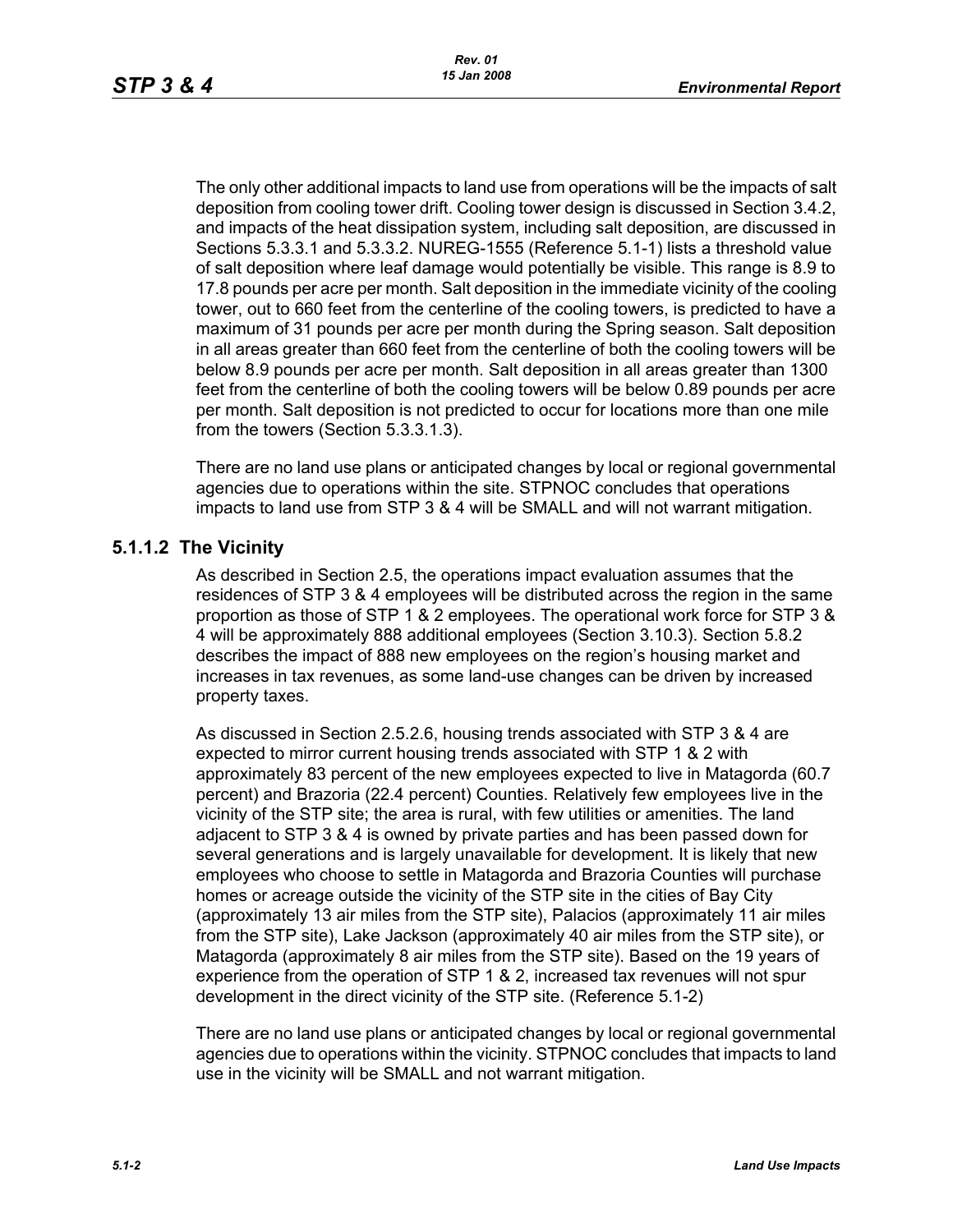The only other additional impacts to land use from operations will be the impacts of salt deposition from cooling tower drift. Cooling tower design is discussed in Section 3.4.2, and impacts of the heat dissipation system, including salt deposition, are discussed in Sections 5.3.3.1 and 5.3.3.2. NUREG-1555 (Reference 5.1-1) lists a threshold value of salt deposition where leaf damage would potentially be visible. This range is 8.9 to 17.8 pounds per acre per month. Salt deposition in the immediate vicinity of the cooling tower, out to 660 feet from the centerline of the cooling towers, is predicted to have a maximum of 31 pounds per acre per month during the Spring season. Salt deposition in all areas greater than 660 feet from the centerline of both the cooling towers will be below 8.9 pounds per acre per month. Salt deposition in all areas greater than 1300 feet from the centerline of both the cooling towers will be below 0.89 pounds per acre per month. Salt deposition is not predicted to occur for locations more than one mile from the towers (Section 5.3.3.1.3).

There are no land use plans or anticipated changes by local or regional governmental agencies due to operations within the site. STPNOC concludes that operations impacts to land use from STP 3 & 4 will be SMALL and will not warrant mitigation.

### **5.1.1.2 The Vicinity**

As described in Section 2.5, the operations impact evaluation assumes that the residences of STP 3 & 4 employees will be distributed across the region in the same proportion as those of STP 1 & 2 employees. The operational work force for STP 3 & 4 will be approximately 888 additional employees (Section 3.10.3). Section 5.8.2 describes the impact of 888 new employees on the region's housing market and increases in tax revenues, as some land-use changes can be driven by increased property taxes.

As discussed in Section 2.5.2.6, housing trends associated with STP 3 & 4 are expected to mirror current housing trends associated with STP 1 & 2 with approximately 83 percent of the new employees expected to live in Matagorda (60.7 percent) and Brazoria (22.4 percent) Counties. Relatively few employees live in the vicinity of the STP site; the area is rural, with few utilities or amenities. The land adjacent to STP 3 & 4 is owned by private parties and has been passed down for several generations and is largely unavailable for development. It is likely that new employees who choose to settle in Matagorda and Brazoria Counties will purchase homes or acreage outside the vicinity of the STP site in the cities of Bay City (approximately 13 air miles from the STP site), Palacios (approximately 11 air miles from the STP site), Lake Jackson (approximately 40 air miles from the STP site), or Matagorda (approximately 8 air miles from the STP site). Based on the 19 years of experience from the operation of STP 1 & 2, increased tax revenues will not spur development in the direct vicinity of the STP site. (Reference 5.1-2)

There are no land use plans or anticipated changes by local or regional governmental agencies due to operations within the vicinity. STPNOC concludes that impacts to land use in the vicinity will be SMALL and not warrant mitigation.